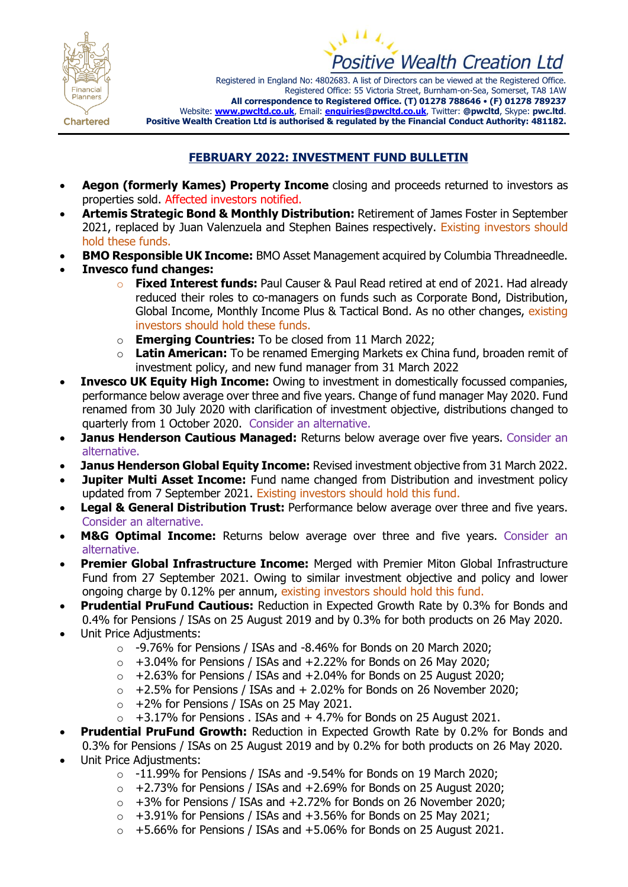



Registered in England No: 4802683. A list of Directors can be viewed at the Registered Office. Registered Office: 55 Victoria Street, Burnham-on-Sea, Somerset, TA8 1AW **All correspondence to Registered Office. (T) 01278 788646** • **(F) 01278 789237** Website: **[www.pwcltd.co.uk](http://www.pwcltd.co.uk/)**, Email: **[enquiries@pwcltd.co.uk](mailto:enquiries@pwcltd.co.uk)**, Twitter: **@pwcltd**, Skype: **pwc.ltd**. **Positive Wealth Creation Ltd is authorised & regulated by the Financial Conduct Authority: 481182.**

**Chartered** 

## **FEBRUARY 2022: INVESTMENT FUND BULLETIN**

- **Aegon (formerly Kames) Property Income** closing and proceeds returned to investors as properties sold. Affected investors notified.
- **Artemis Strategic Bond & Monthly Distribution:** Retirement of James Foster in September 2021, replaced by Juan Valenzuela and Stephen Baines respectively. Existing investors should hold these funds.
- **BMO Responsible UK Income:** BMO Asset Management acquired by Columbia Threadneedle.
- **Invesco fund changes:**
	- o **Fixed Interest funds:** Paul Causer & Paul Read retired at end of 2021. Had already reduced their roles to co-managers on funds such as Corporate Bond, Distribution, Global Income, Monthly Income Plus & Tactical Bond. As no other changes, existing investors should hold these funds.
	- o **Emerging Countries:** To be closed from 11 March 2022;
	- **Latin American:** To be renamed Emerging Markets ex China fund, broaden remit of investment policy, and new fund manager from 31 March 2022
- **Invesco UK Equity High Income:** Owing to investment in domestically focussed companies, performance below average over three and five years. Change of fund manager May 2020. Fund renamed from 30 July 2020 with clarification of investment objective, distributions changed to quarterly from 1 October 2020. Consider an alternative.
- **Janus Henderson Cautious Managed:** Returns below average over five years. Consider an alternative.
- **Janus Henderson Global Equity Income:** Revised investment objective from 31 March 2022.
- **Jupiter Multi Asset Income:** Fund name changed from Distribution and investment policy updated from 7 September 2021. Existing investors should hold this fund.
- **Legal & General Distribution Trust:** Performance below average over three and five years. Consider an alternative.
- **M&G Optimal Income:** Returns below average over three and five years. Consider an alternative.
- **Premier Global Infrastructure Income:** Merged with Premier Miton Global Infrastructure Fund from 27 September 2021. Owing to similar investment objective and policy and lower ongoing charge by 0.12% per annum, existing investors should hold this fund.
- **Prudential PruFund Cautious:** Reduction in Expected Growth Rate by 0.3% for Bonds and 0.4% for Pensions / ISAs on 25 August 2019 and by 0.3% for both products on 26 May 2020.
- Unit Price Adjustments:
	- o -9.76% for Pensions / ISAs and -8.46% for Bonds on 20 March 2020;
	- $\circ$  +3.04% for Pensions / ISAs and +2.22% for Bonds on 26 May 2020;
	- $\circ$  +2.63% for Pensions / ISAs and +2.04% for Bonds on 25 August 2020;
	- $\circ$  +2.5% for Pensions / ISAs and + 2.02% for Bonds on 26 November 2020;
	- $\circ$  +2% for Pensions / ISAs on 25 May 2021.
	- $\circ$  +3.17% for Pensions . ISAs and + 4.7% for Bonds on 25 August 2021.
- **Prudential PruFund Growth:** Reduction in Expected Growth Rate by 0.2% for Bonds and 0.3% for Pensions / ISAs on 25 August 2019 and by 0.2% for both products on 26 May 2020.
- Unit Price Adiustments:
	- $\circ$  -11.99% for Pensions / ISAs and -9.54% for Bonds on 19 March 2020;
	- $\circ$  +2.73% for Pensions / ISAs and +2.69% for Bonds on 25 August 2020;
	- $\circ$  +3% for Pensions / ISAs and +2.72% for Bonds on 26 November 2020;
	- $\circ$  +3.91% for Pensions / ISAs and +3.56% for Bonds on 25 May 2021;
	- $\circ$  +5.66% for Pensions / ISAs and +5.06% for Bonds on 25 August 2021.